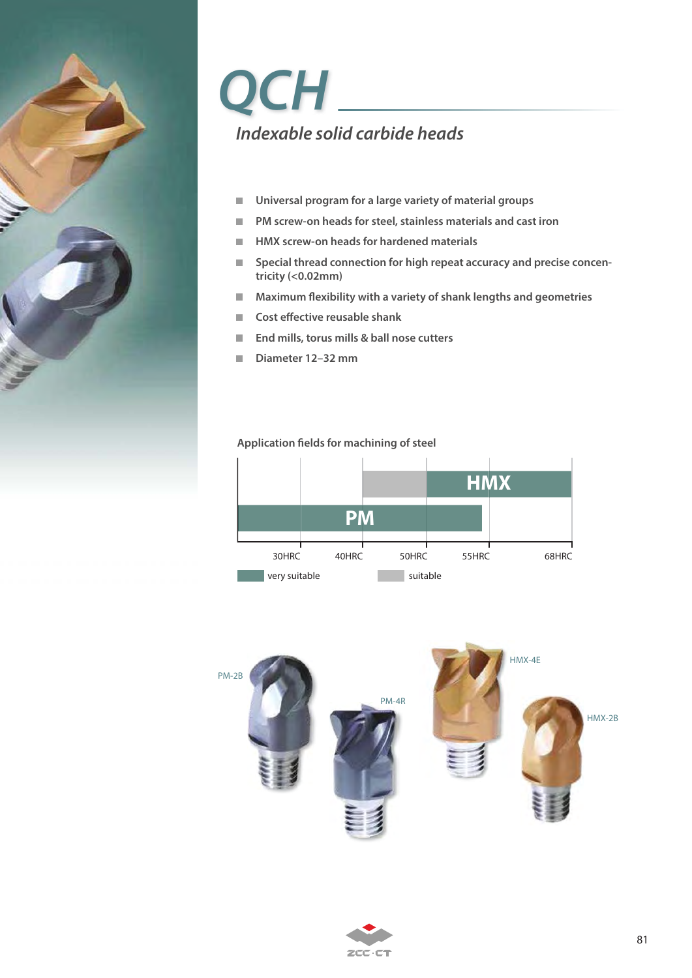

# **QCH Indexable solid carbide heads**

- **Universal program for a large variety of material groups**  $\mathcal{L}_{\mathcal{A}}$
- **PM screw-on heads for steel, stainless materials and cast iron**
- $\blacksquare$  HMX screw-on heads for hardened materials
- Special thread connection for high repeat accuracy and precise concen**tricity (<0.02mm)**
- **Maximum flexibility with a variety of shank lengths and geometries**
- Cost effective reusable shank
- End mills, torus mills & ball nose cutters
- **Diameter 12–32 mm**

## **Application fields for machining of steel**





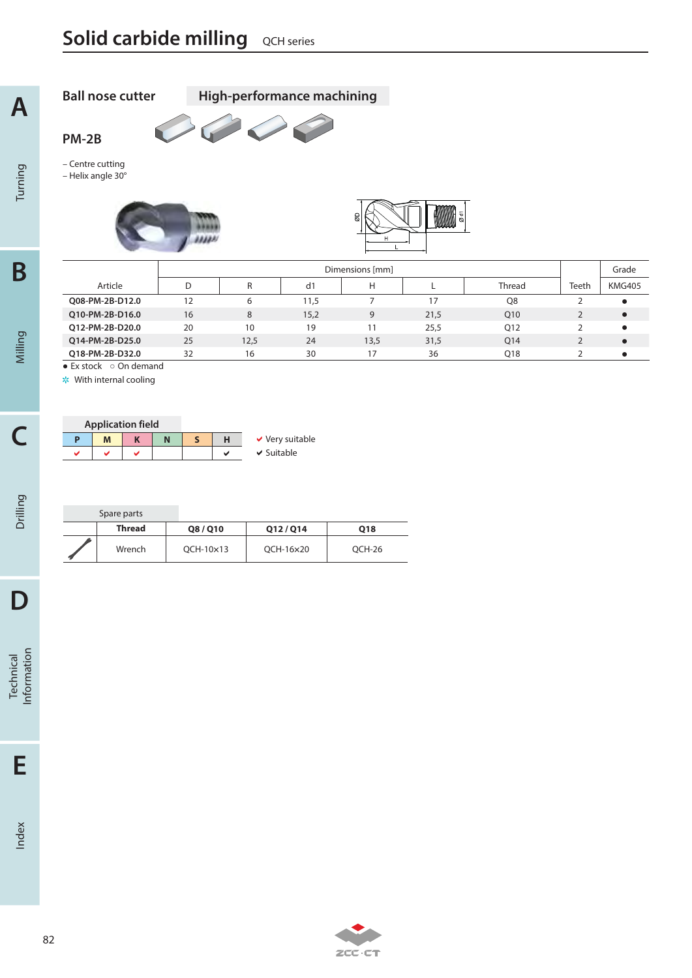**Contract Contract Contract** 

33333

– Centre cutting – Helix angle 30°

**Ball nose cutter High-performance machining**

**CONTRACTES** 

**PM-2B**

Turning

**A**

Technical<br>Information

Index



|  | <b>Application field</b> |  |   |                      |
|--|--------------------------|--|---|----------------------|
|  | M                        |  |   | $\vee$ Very suitable |
|  |                          |  | м | $\vee$ Suitable      |

| Spare parts   |                  |           |        |
|---------------|------------------|-----------|--------|
| <b>Thread</b> | Q8/Q10           | Q12/Q14   | Q18    |
| Wrench        | $QCH-10\times13$ | QCH-16×20 | OCH-26 |

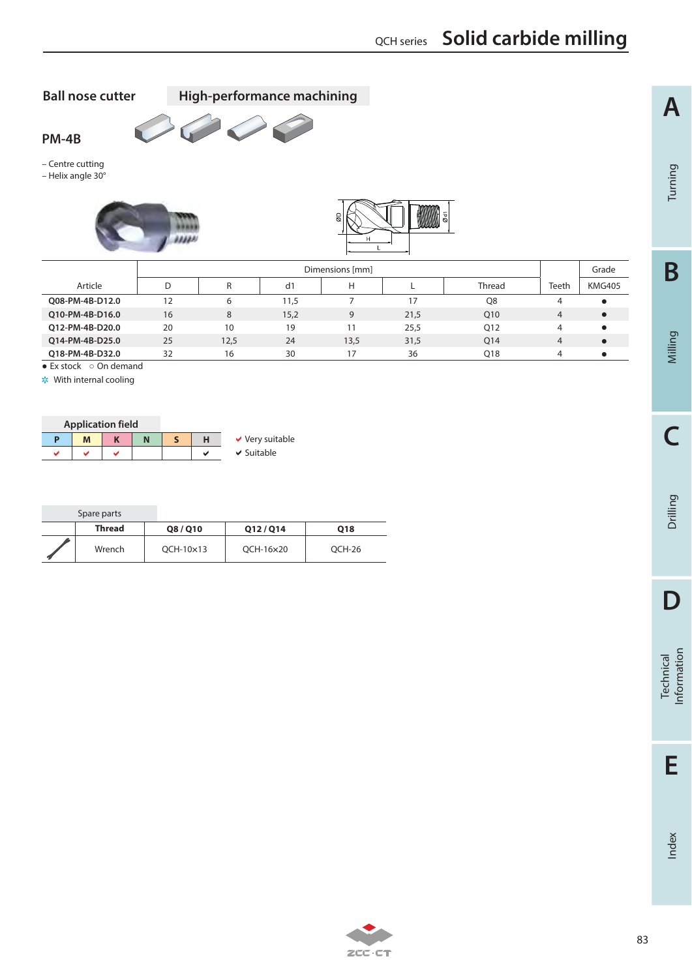**Ball nose cutter High-performance machining**



– Centre cutting

**PM-4B**

– Helix angle 30°





|                 |    | Dimensions [mm] |      |      |      |        |       |               |
|-----------------|----|-----------------|------|------|------|--------|-------|---------------|
| Article         |    | R               | d1   | Н    |      | Thread | Teeth | <b>KMG405</b> |
| Q08-PM-4B-D12.0 | 12 | 6               | 11,5 |      | 17   | Q8     | 4     |               |
| Q10-PM-4B-D16.0 | 16 | 8               | 15,2 | 9    | 21,5 | Q10    | 4     |               |
| O12-PM-4B-D20.0 | 20 | 10              | 19   | 11   | 25,5 | Q12    | 4     |               |
| O14-PM-4B-D25.0 | 25 | 12,5            | 24   | 13,5 | 31,5 | Q14    | 4     |               |
| O18-PM-4B-D32.0 | 32 | 16              | 30   | 17   | 36   | Q18    | 4     |               |

 $\overline{\bullet}$  Ex stock  $\circ$  On demand

With internal cooling

|   | <b>Application field</b> |  |        |                      |
|---|--------------------------|--|--------|----------------------|
|   | м                        |  |        | $\vee$ Very suitable |
| u |                          |  | $\sim$ | $\vee$ Suitable      |

| Spare parts   |           |           |        |
|---------------|-----------|-----------|--------|
| <b>Thread</b> | Q8/Q10    | 012/014   | Q18    |
| Wrench        | OCH-10×13 | OCH-16×20 | OCH-26 |



2CC-CT

**A**

Index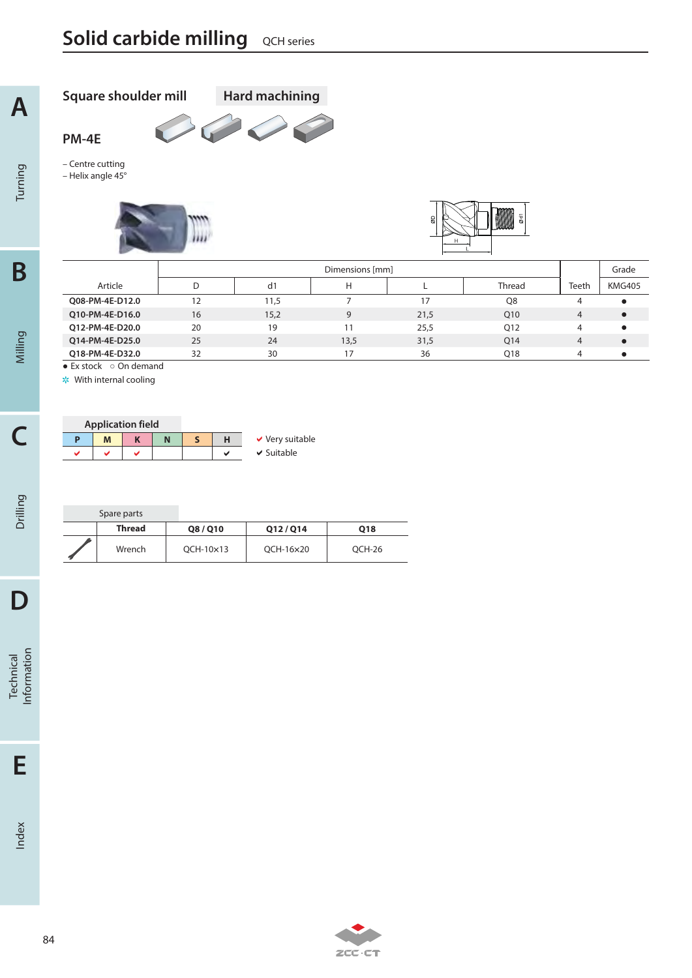**Square shoulder mill Hard machining**

 $\bigcirc$ 

C

lini)<br>1

**PM-4E**

– Centre cutting – Helix angle 45°

Turning

**A**

**C**

Drilling

**D**

Technical<br>Information

**E**

Index

 $\overline{\bullet}$  Ex stock  $\circ$  On demand With internal cooling

| <b>Application field</b> |   |  |   |  |                      |
|--------------------------|---|--|---|--|----------------------|
| Ð                        | M |  | N |  | $\vee$ Very suitable |
|                          |   |  |   |  | $\vee$ Suitable      |

| Spare parts |               |           |        |
|-------------|---------------|-----------|--------|
| Thread      | <b>Q8/Q10</b> | 012/014   | Q18    |
| Wrench      | OCH-10×13     | OCH-16×20 | OCH-26 |

200.01

D | d1 | H | L | Thread |Teeth | KMG405

Dimensions [mm] Grade

**Q08-PM-4E-D12.0** 12 11,5 7 17 Q8 4 ●<br> **Q10-PM-4E-D16.0** 16 15,2 9 21,5 Q10 4 ● **Q10-PM-4E-D16.0** 16 15,2 9 21,5 Q10 4  $\bullet$ **Q12-PM-4E-D20.0** 20 19 11 25,5 Q12 4  $\bullet$ **Q14-PM-4E-D25.0** 25 24 13,5 31,5 Q14 4  $\bullet$ **Q18-PM-4E-D32.0** 32 30 30 17 36 Q18 4  $\bullet$ 

Article | D | d1 | H | L | Thread |Teeth

84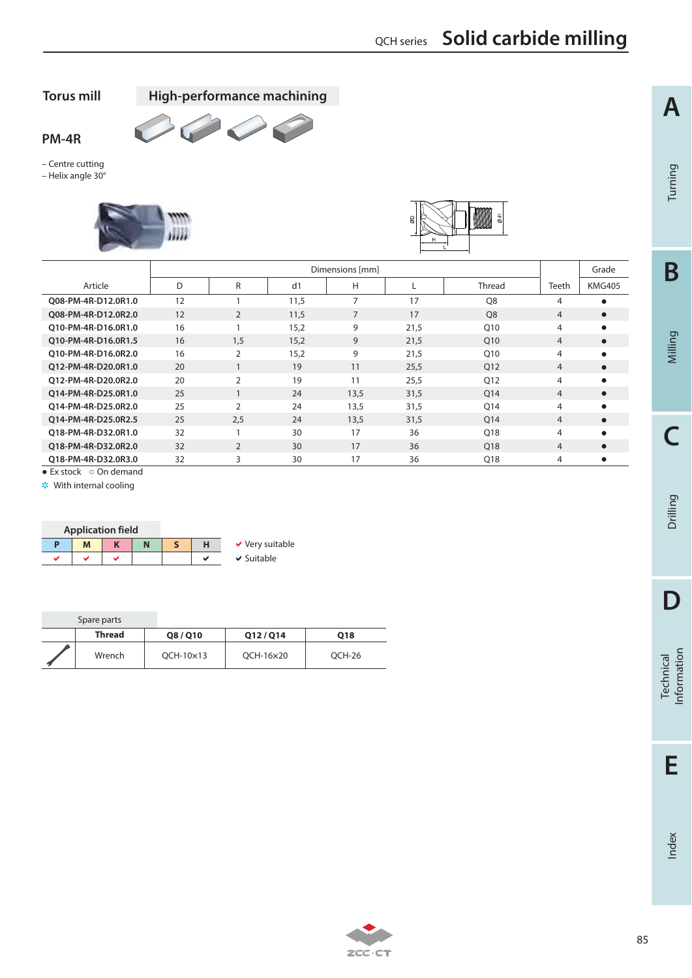**Torus mill High-performance machining**

 $\overline{\phantom{0}}$ 

 $\sqrt{2}$ 



– Centre cutting – Helix angle 30°





|                     |    | Dimensions [mm] |                |      |      |                 |                |               |
|---------------------|----|-----------------|----------------|------|------|-----------------|----------------|---------------|
| Article             | D  | R               | d <sub>1</sub> | Н    |      | <b>Thread</b>   | Teeth          | <b>KMG405</b> |
| 008-PM-4R-D12.0R1.0 | 12 |                 | 11,5           | 7    | 17   | O <sub>8</sub>  | 4              |               |
| 008-PM-4R-D12.0R2.0 | 12 | 2               | 11,5           | 7    | 17   | O <sub>8</sub>  | $\overline{4}$ | $\bullet$     |
| O10-PM-4R-D16.0R1.0 | 16 |                 | 15,2           | 9    | 21,5 | Q10             | 4              | $\bullet$     |
| O10-PM-4R-D16.0R1.5 | 16 | 1.5             | 15,2           | 9    | 21,5 | O <sub>10</sub> | $\overline{4}$ | $\bullet$     |
| 010-PM-4R-D16.0R2.0 | 16 | 2               | 15,2           | 9    | 21,5 | Q10             | 4              | ٠             |
| Q12-PM-4R-D20.0R1.0 | 20 |                 | 19             | 11   | 25,5 | Q12             | $\overline{4}$ | $\bullet$     |
| 012-PM-4R-D20.0R2.0 | 20 | 2               | 19             | 11   | 25,5 | Q12             | 4              | ٠             |
| 014-PM-4R-D25.0R1.0 | 25 |                 | 24             | 13,5 | 31,5 | Q14             | $\overline{4}$ | $\bullet$     |
| 014-PM-4R-D25.0R2.0 | 25 | $\overline{2}$  | 24             | 13,5 | 31,5 | Q14             | 4              | $\bullet$     |
| 014-PM-4R-D25.0R2.5 | 25 | 2.5             | 24             | 13.5 | 31,5 | O14             | 4              | $\bullet$     |
| 018-PM-4R-D32.0R1.0 | 32 |                 | 30             | 17   | 36   | Q18             | 4              | $\bullet$     |
| 018-PM-4R-D32.0R2.0 | 32 | $\overline{2}$  | 30             | 17   | 36   | O <sub>18</sub> | $\overline{4}$ | $\bullet$     |
| 018-PM-4R-D32.0R3.0 | 32 | 3               | 30             | 17   | 36   | Q18             | 4              | $\bullet$     |

 $\bullet$  Ex stock  $\circ$  On demand

\* With internal cooling

| <b>Application field</b> |  |   |                      |
|--------------------------|--|---|----------------------|
| Μ                        |  |   | $\vee$ Very suitable |
|                          |  | м | $\vee$ Suitable      |

| Spare parts   |               |           |        |
|---------------|---------------|-----------|--------|
| <b>Thread</b> | <b>Q8/Q10</b> | 012/014   | Q18    |
| Wrench        | OCH-10×13     | OCH-16×20 | OCH-26 |



Technical<br>Information

**A**

Turning

**B**

Milling

**C**

Drilling

Index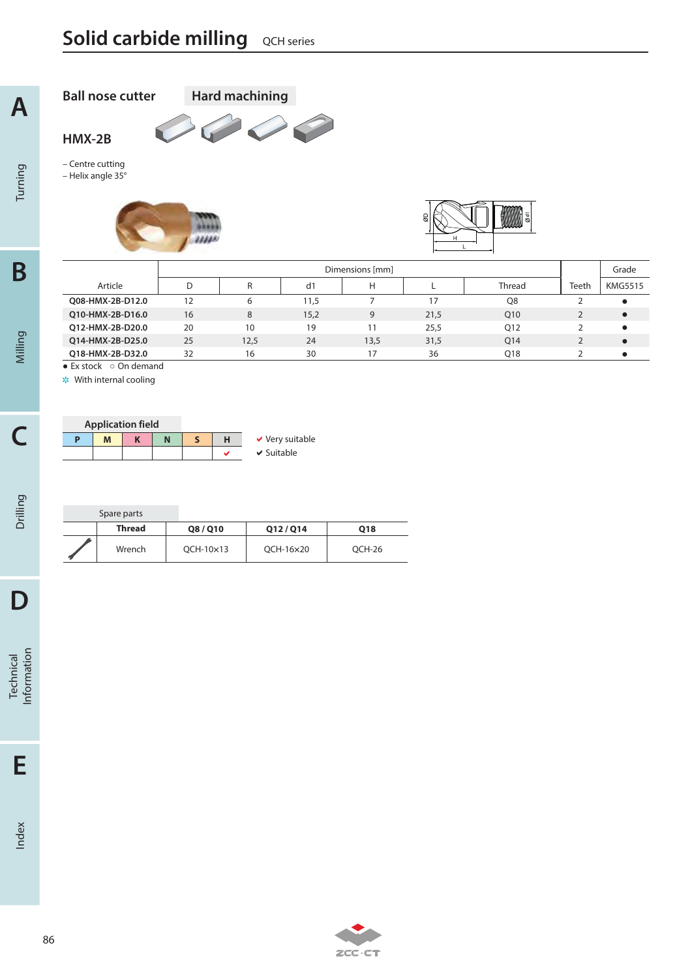**A**

Turning

**C**

**Ball nose cutter Hard machining**C.  $\bigg($ **HMX-2B**

– Centre cutting – Helix angle 35°





|                       |    | Dimensions [mm] |      |      |      |                 |       |                |
|-----------------------|----|-----------------|------|------|------|-----------------|-------|----------------|
| Article               | D  | R               | d1   | Н    |      | <b>Thread</b>   | Teeth | <b>KMG5515</b> |
| O08-HMX-2B-D12.0      | 12 | 6               | 11,5 |      | 17   | Q8              |       | $\bullet$      |
| O10-HMX-2B-D16.0      | 16 | 8               | 15,2 | 9    | 21,5 | O <sub>10</sub> |       |                |
| O12-HMX-2B-D20.0      | 20 | 10              | 19   |      | 25,5 | Q12             |       | $\bullet$      |
| O14-HMX-2B-D25.0      | 25 | 12,5            | 24   | 13,5 | 31,5 | O <sub>14</sub> |       | $\bullet$      |
| O18-HMX-2B-D32.0      | 32 | 16              | 30   |      | 36   | Q18             |       |                |
| • Evetade o On domand |    |                 |      |      |      |                 |       |                |

 $\bullet$  Ex stock  $\circ$  On demand

|   | <b>Application field</b> |  |  |                      |
|---|--------------------------|--|--|----------------------|
| Ð | M                        |  |  | $\vee$ Very suitable |
|   |                          |  |  | $\vee$ Suitable      |

| Spare parts |               |           |        |
|-------------|---------------|-----------|--------|
| Thread      | <b>Q8/Q10</b> | Q12/Q14   | Q18    |
| Wrench      | OCH-10×13     | OCH-16×20 | OCH-26 |

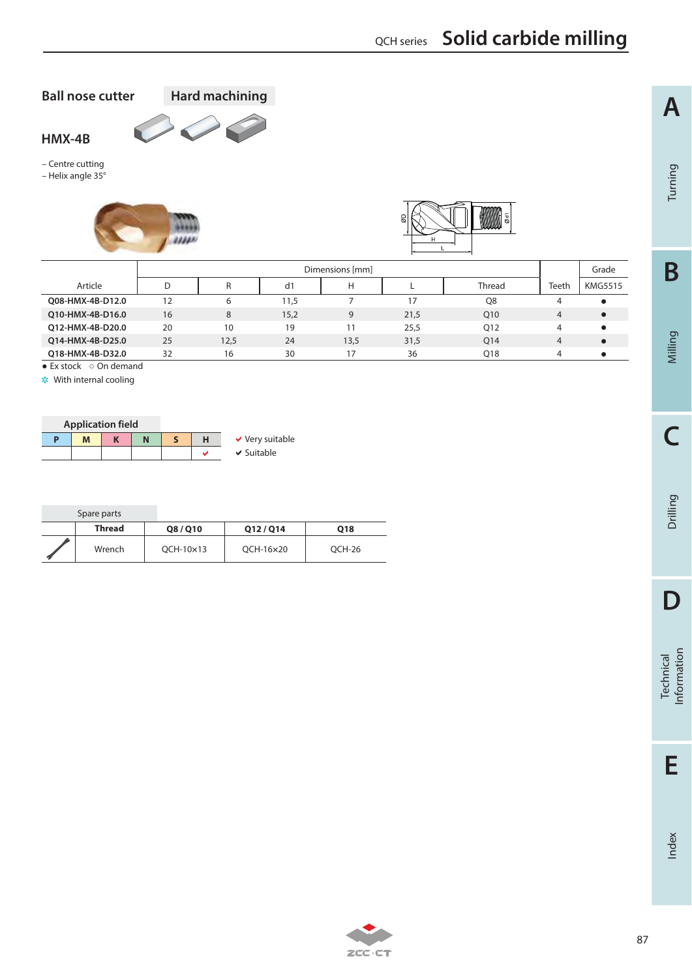**B**

**A**

Turning

**C**

**E**

Index

## QCH series **Solid carbide milling**

**Ball nose cutter Hard machining**



– Centre cutting – Helix angle 35°





| Dimensions [mm] |      |                |      |      |               |                | Grade          |
|-----------------|------|----------------|------|------|---------------|----------------|----------------|
| D               |      | d <sub>1</sub> | Н    |      | <b>Thread</b> | Teeth          | <b>KMG5515</b> |
| 12              | 6    | 11,5           |      | 17   | O8            | 4              |                |
| 16              | 8    | 15,2           | 9    | 21,5 | Q10           | $\overline{4}$ |                |
| 20              | 10   | 19             | 11   | 25.5 | 012           | 4              |                |
| 25              | 12,5 | 24             | 13,5 | 31,5 | Q14           | $\overline{4}$ |                |
| 32              | 16   | 30             | 17   | 36   | Q18           | 4              |                |
|                 |      |                |      |      |               |                |                |

 $\bullet$  Ex stock  $\circ$  On demand

|   |   | <b>Application field</b> |  |                      |
|---|---|--------------------------|--|----------------------|
| D | M |                          |  | $\vee$ Very suitable |
|   |   |                          |  | $\vee$ Suitable      |

| Spare parts |               |           |        |
|-------------|---------------|-----------|--------|
| Thread      | <b>Q8/Q10</b> | 012/014   | Q18    |
| Wrench      | OCH-10×13     | OCH-16×20 | OCH-26 |



| $\sim$ 1<br>÷, |  |
|----------------|--|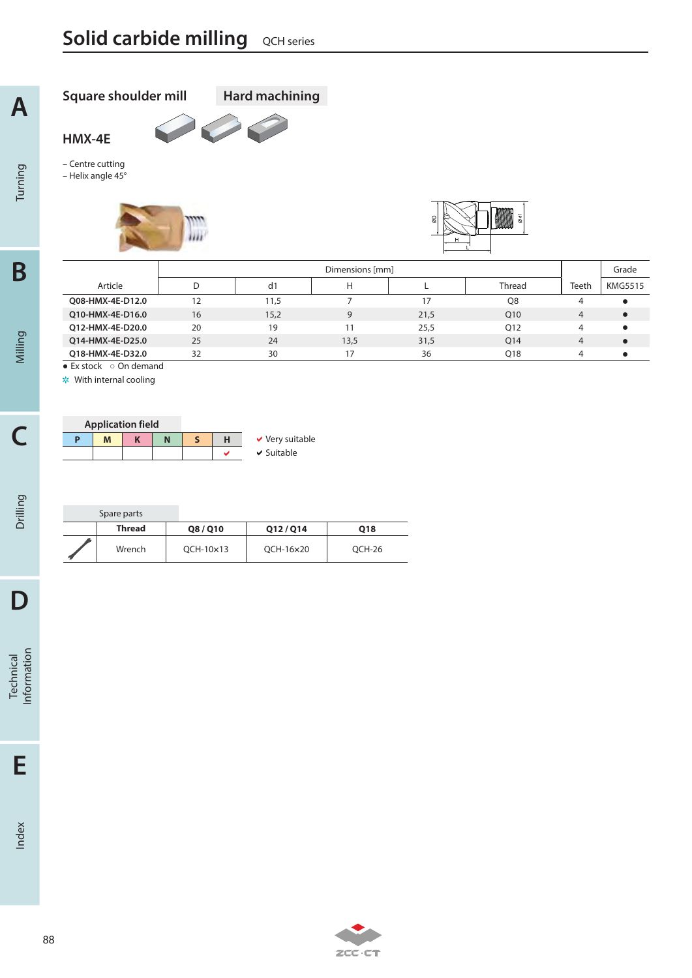**Square shoulder mill Hard machining**

P

**HMX-4E**

**A**

Turning

**B**

Milling

**C**

Drilling

**D**

Technical<br>Information

**E**

Index

– Centre cutting – Helix angle 45°





|                                      |    |      | Grade |      |                 |       |                |
|--------------------------------------|----|------|-------|------|-----------------|-------|----------------|
| Article                              |    | d1   | H     |      | <b>Thread</b>   | Teeth | <b>KMG5515</b> |
| Q08-HMX-4E-D12.0                     | 12 | 11,5 |       | 17   | Q8              | 4     |                |
| O10-HMX-4E-D16.0                     | 16 | 15,2 | 9     | 21,5 | Q10             | 4     |                |
| O12-HMX-4E-D20.0                     | 20 | 19   |       | 25,5 | Q12             | 4     |                |
| 014-HMX-4E-D25.0                     | 25 | 24   | 13.5  | 31,5 | O <sub>14</sub> | 4     |                |
| O18-HMX-4E-D32.0                     | 32 | 30   |       | 36   | O <sub>18</sub> | 4     |                |
| $\bullet$ Ex stock $\circ$ On demand |    |      |       |      |                 |       |                |

|    | <b>Application field</b> |  |  |                      |
|----|--------------------------|--|--|----------------------|
| D) | M                        |  |  | $\vee$ Very suitable |
|    |                          |  |  | $\vee$ Suitable      |

| Spare parts   |           |           |        |
|---------------|-----------|-----------|--------|
| <b>Thread</b> | Q8/Q10    | 012/014   | Q18    |
| Wrench        | OCH-10×13 | OCH-16×20 | OCH-26 |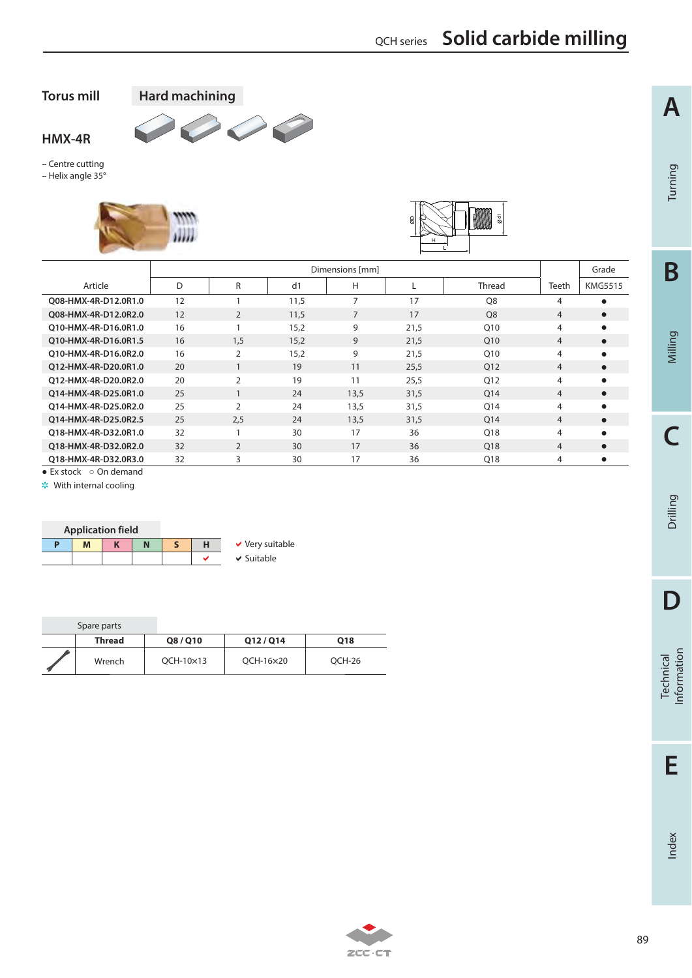QCH series **Solid carbide milling**

**A**

Turning

**B**

Milling

**C**

Drilling

**D**

Technical<br>Information

**E**

Index

**Torus mill Hard machining**

**HMX-4R**

– Centre cutting – Helix angle 35°





|                      |    | Dimensions [mm] |      |                |      |                 |                |                |
|----------------------|----|-----------------|------|----------------|------|-----------------|----------------|----------------|
| Article              | D  | R               | d1   | Н              |      | <b>Thread</b>   | Teeth          | <b>KMG5515</b> |
| O08-HMX-4R-D12.0R1.0 | 12 |                 | 11,5 | $\overline{7}$ | 17   | O <sub>8</sub>  | 4              | $\bullet$      |
| O08-HMX-4R-D12.0R2.0 | 12 | 2               | 11,5 | $\overline{7}$ | 17   | O <sub>8</sub>  | $\overline{4}$ | $\bullet$      |
| O10-HMX-4R-D16.0R1.0 | 16 |                 | 15,2 | 9              | 21,5 | O <sub>10</sub> | 4              | $\bullet$      |
| O10-HMX-4R-D16.0R1.5 | 16 | 1.5             | 15,2 | 9              | 21,5 | O <sub>10</sub> | $\overline{4}$ | $\bullet$      |
| 010-HMX-4R-D16.0R2.0 | 16 | $\overline{2}$  | 15,2 | 9              | 21,5 | O <sub>10</sub> | 4              | $\bullet$      |
| 012-HMX-4R-D20.0R1.0 | 20 |                 | 19   | 11             | 25,5 | Q12             | $\overline{4}$ | $\bullet$      |
| O12-HMX-4R-D20.0R2.0 | 20 | $\overline{2}$  | 19   | 11             | 25,5 | O12             | 4              | $\bullet$      |
| 014-HMX-4R-D25.0R1.0 | 25 |                 | 24   | 13,5           | 31,5 | Q14             | $\overline{4}$ | $\bullet$      |
| 014-HMX-4R-D25.0R2.0 | 25 | $\overline{2}$  | 24   | 13,5           | 31,5 | Q14             | 4              | $\bullet$      |
| 014-HMX-4R-D25.0R2.5 | 25 | 2,5             | 24   | 13,5           | 31,5 | O <sub>14</sub> | 4              | $\bullet$      |
| 018-HMX-4R-D32.0R1.0 | 32 |                 | 30   | 17             | 36   | O18             | 4              | $\bullet$      |
| 018-HMX-4R-D32.0R2.0 | 32 | $\overline{2}$  | 30   | 17             | 36   | O <sub>18</sub> | $\overline{4}$ | $\bullet$      |
| 018-HMX-4R-D32.0R3.0 | 32 | 3               | 30   | 17             | 36   | Q18             | 4              | $\bullet$      |

**Contract Contract Contract Contract Contract Contract Contract Contract Contract Contract Contract Contract C** 

 $\bullet$  Ex stock  $\circ$  On demand



| Spare parts |           |           |        |
|-------------|-----------|-----------|--------|
| Thread      | Q8/Q10    | 012/014   | Q18    |
| Wrench      | OCH-10×13 | OCH-16×20 | OCH-26 |

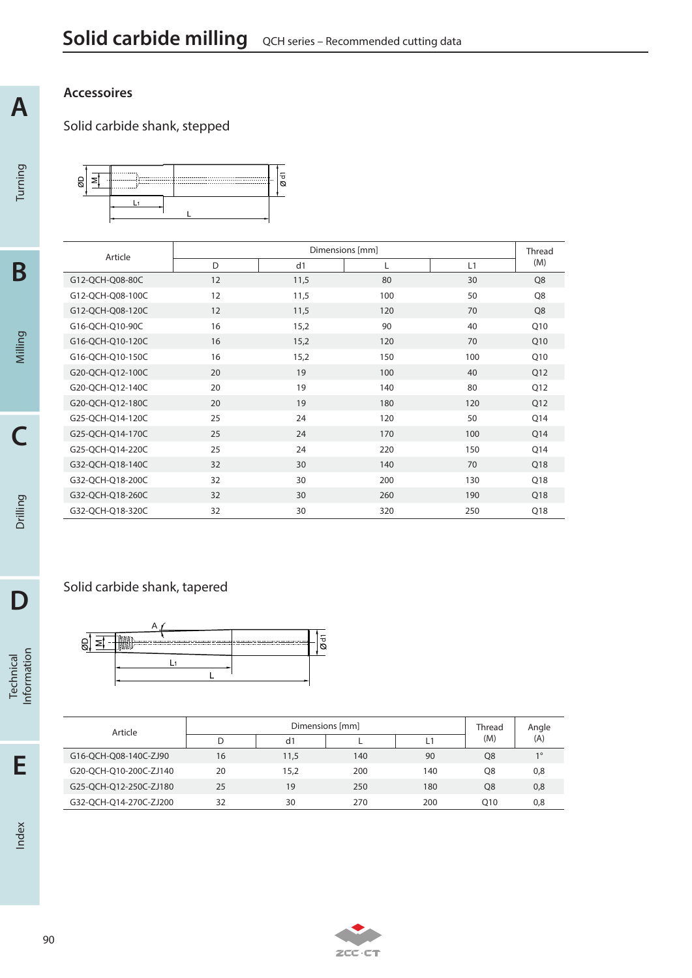## **Accessoires**

**A**

Turning

**B**

Milling

**C**

Drilling

**D**

Technical<br>Information

## Solid carbide shank, stepped



| Article          |    | Dimensions [mm]<br><b>Thread</b> |     |     |                |
|------------------|----|----------------------------------|-----|-----|----------------|
|                  | D  | d1                               | L   | L1  | (M)            |
| G12-QCH-Q08-80C  | 12 | 11,5                             | 80  | 30  | Q <sub>8</sub> |
| G12-QCH-Q08-100C | 12 | 11,5                             | 100 | 50  | Q8             |
| G12-QCH-Q08-120C | 12 | 11,5                             | 120 | 70  | Q8             |
| G16-QCH-Q10-90C  | 16 | 15,2                             | 90  | 40  | Q10            |
| G16-QCH-Q10-120C | 16 | 15,2                             | 120 | 70  | Q10            |
| G16-QCH-Q10-150C | 16 | 15,2                             | 150 | 100 | Q10            |
| G20-QCH-Q12-100C | 20 | 19                               | 100 | 40  | Q12            |
| G20-QCH-Q12-140C | 20 | 19                               | 140 | 80  | Q12            |
| G20-QCH-Q12-180C | 20 | 19                               | 180 | 120 | Q12            |
| G25-QCH-Q14-120C | 25 | 24                               | 120 | 50  | Q14            |
| G25-QCH-Q14-170C | 25 | 24                               | 170 | 100 | Q14            |
| G25-QCH-Q14-220C | 25 | 24                               | 220 | 150 | Q14            |
| G32-QCH-Q18-140C | 32 | 30                               | 140 | 70  | Q18            |
| G32-QCH-Q18-200C | 32 | 30                               | 200 | 130 | Q18            |
| G32-QCH-Q18-260C | 32 | 30                               | 260 | 190 | Q18            |
| G32-QCH-Q18-320C | 32 | 30                               | 320 | 250 | Q18            |

## Solid carbide shank, tapered



| Article                |    |      | Dimensions [mm] |     | <b>Thread</b>   | Angle |
|------------------------|----|------|-----------------|-----|-----------------|-------|
|                        |    | d1   |                 | L1  | (M)             | (A)   |
| G16-QCH-Q08-140C-ZJ90  | 16 | 11,5 | 140             | 90  | Q8              | 10    |
| G20-OCH-O10-200C-ZJ140 | 20 | 15.2 | 200             | 140 | O8              | 0,8   |
| G25-QCH-Q12-250C-ZJ180 | 25 | 19   | 250             | 180 | O8              | 0,8   |
| G32-OCH-O14-270C-ZJ200 | 32 | 30   | 270             | 200 | O <sub>10</sub> | 0,8   |

**E**

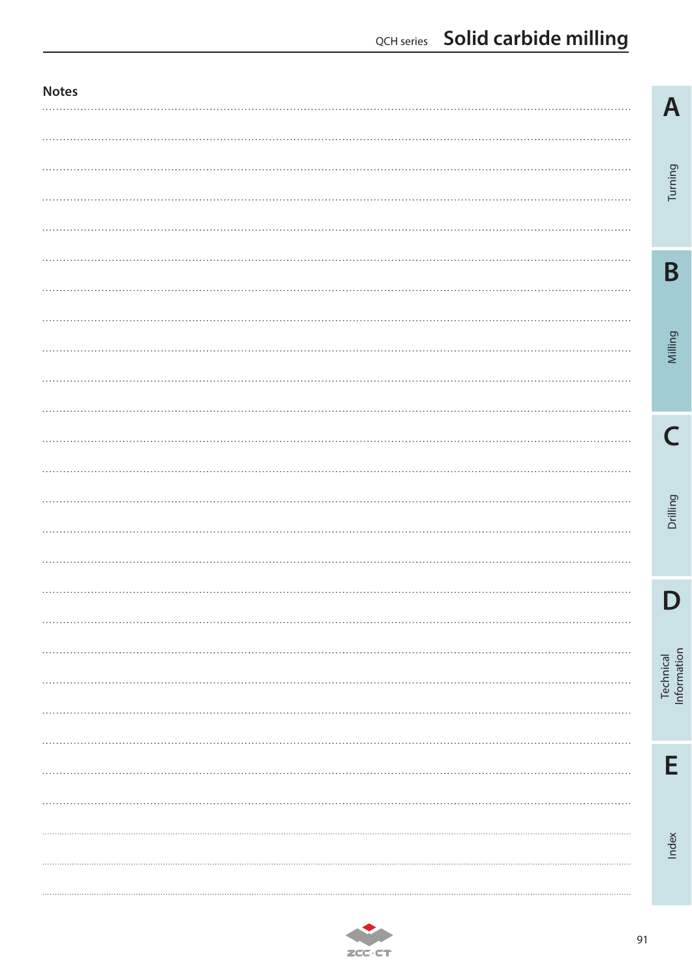## QCH series **Solid carbide milling**

| <b>Notes</b><br> | A                        |
|------------------|--------------------------|
|                  |                          |
|                  |                          |
|                  | Turning                  |
|                  |                          |
|                  |                          |
|                  | B                        |
| .                |                          |
|                  |                          |
| .                | Milling                  |
|                  |                          |
|                  |                          |
| $\cdots$         |                          |
|                  |                          |
| .                |                          |
|                  | Drilling                 |
| .                |                          |
|                  |                          |
| .                |                          |
|                  |                          |
| $\ddotsc$        |                          |
| $\cdots$         | Technical<br>Information |
| .                |                          |
| .                |                          |
| $\ddots$         | E                        |
|                  |                          |
|                  |                          |
|                  | Index                    |
| .                |                          |
| .                |                          |

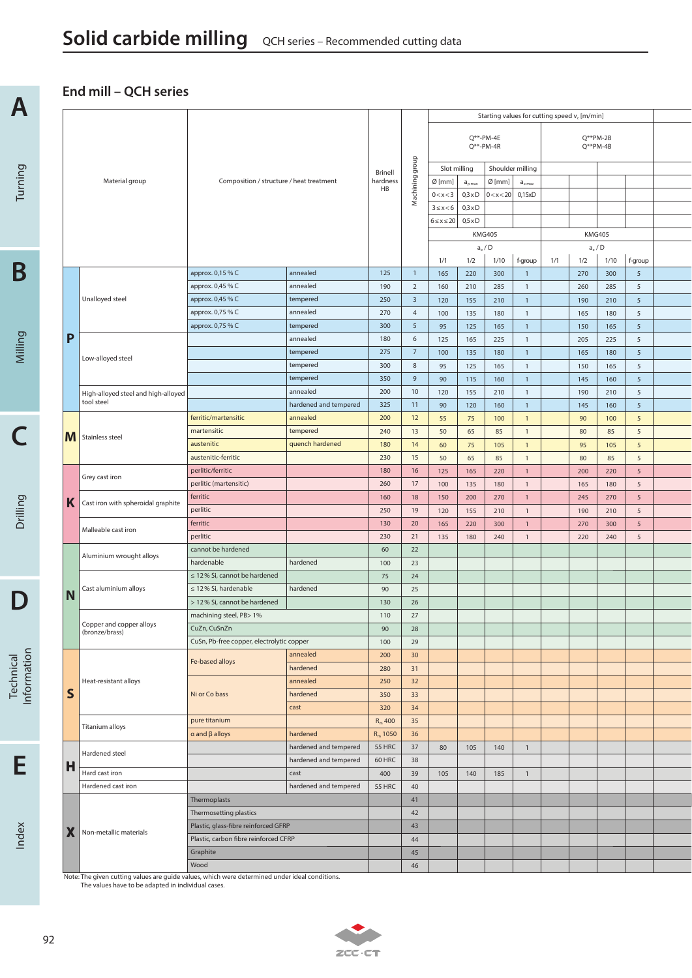## **End mill – QCH series**

**A**

| A           |   |   |                                                                                                                                                                                                                                                                                                                                                                     |                                           |                       |                     |                         |                  |                | Starting values for cutting speed $v_c$ [m/min] |                |     |     |                                          |                 |  |
|-------------|---|---|---------------------------------------------------------------------------------------------------------------------------------------------------------------------------------------------------------------------------------------------------------------------------------------------------------------------------------------------------------------------|-------------------------------------------|-----------------------|---------------------|-------------------------|------------------|----------------|-------------------------------------------------|----------------|-----|-----|------------------------------------------|-----------------|--|
|             |   |   |                                                                                                                                                                                                                                                                                                                                                                     |                                           |                       |                     |                         |                  |                | $Q^{**}$ -PM-4E<br>$Q^{**}$ -PM-4R              |                |     |     | $Q^{**}PM-2B$<br>$Q^{**}$ PM-4B          |                 |  |
|             |   |   |                                                                                                                                                                                                                                                                                                                                                                     |                                           |                       |                     |                         |                  | Slot milling   | Shoulder milling                                |                |     |     |                                          |                 |  |
| Turning     |   |   |                                                                                                                                                                                                                                                                                                                                                                     | Composition / structure / heat treatment  |                       | Brinell<br>hardness | Machining group         | $Ø$ [mm]         | $a_{p \max}$   | $Ø$ [mm]                                        | $a_{e \, max}$ |     |     |                                          |                 |  |
|             |   |   |                                                                                                                                                                                                                                                                                                                                                                     |                                           |                       | HB                  |                         | 0 < x < 3        | $0,3 \times D$ | 0 < x < 20                                      | 0,15xD         |     |     |                                          |                 |  |
|             |   |   |                                                                                                                                                                                                                                                                                                                                                                     |                                           |                       |                     |                         | $3 \leq x < 6$   | $0,3 \times D$ |                                                 |                |     |     |                                          |                 |  |
|             |   |   |                                                                                                                                                                                                                                                                                                                                                                     |                                           |                       |                     |                         | $6 \le x \le 20$ | $0.5 \times D$ |                                                 |                |     |     |                                          |                 |  |
|             |   |   |                                                                                                                                                                                                                                                                                                                                                                     |                                           |                       |                     |                         |                  |                | <b>KMG405</b>                                   |                |     |     | <b>KMG405</b>                            |                 |  |
|             |   |   |                                                                                                                                                                                                                                                                                                                                                                     |                                           |                       |                     |                         |                  |                | $a_e/D$                                         |                |     |     | $\mathsf{a}_{\mathsf{e}}$ / $\mathsf{D}$ |                 |  |
|             |   |   |                                                                                                                                                                                                                                                                                                                                                                     |                                           |                       |                     |                         | 1/1              | 1/2            | 1/10                                            | f-group        | 1/1 | 1/2 | 1/10                                     | f-group         |  |
| Β           |   |   |                                                                                                                                                                                                                                                                                                                                                                     | approx. 0,15 % C                          | annealed              | 125                 | $\overline{1}$          | 165              | 220            | 300                                             | $\mathbf{1}$   |     | 270 | 300                                      | 5               |  |
|             |   |   |                                                                                                                                                                                                                                                                                                                                                                     | approx. 0,45 % C                          | annealed              | 190                 | $\overline{2}$          | 160              | 210            | 285                                             | $\mathbf{1}$   |     | 260 | 285                                      | 5               |  |
|             |   |   |                                                                                                                                                                                                                                                                                                                                                                     | approx. 0,45 % C                          | tempered              | 250                 | $\overline{\mathbf{3}}$ | 120              | 155            | 210                                             | $\mathbf{1}$   |     | 190 | 210                                      | 5               |  |
|             |   |   |                                                                                                                                                                                                                                                                                                                                                                     | approx. 0,75 % C                          | annealed              | 270                 | $\overline{4}$          | 100              | 135            | 180                                             | $\mathbf{1}$   |     | 165 | 180                                      | 5               |  |
|             |   |   |                                                                                                                                                                                                                                                                                                                                                                     | approx. 0,75 % C                          | tempered              | 300                 | 5                       | 95               | 125            | 165                                             | $\mathbf{1}$   |     | 150 | 165                                      | 5               |  |
|             |   | P |                                                                                                                                                                                                                                                                                                                                                                     |                                           | annealed              | 180                 | 6                       |                  |                |                                                 |                |     |     |                                          | 5               |  |
|             |   |   |                                                                                                                                                                                                                                                                                                                                                                     |                                           | tempered              | 275                 | $\overline{7}$          | 125              | 165            | 225                                             | $\mathbf{1}$   |     | 205 | 225                                      |                 |  |
| Milling     |   |   | Material group<br>Unalloyed steel<br>Low-alloyed steel<br>tool steel<br>Stainless steel<br>Grey cast iron<br>Malleable cast iron<br>Aluminium wrought alloys<br>Cast aluminium alloys<br>Copper and copper alloys<br>(bronze/brass)<br>Heat-resistant alloys<br>Titanium alloys<br>Hardened steel<br>Hard cast iron<br>Hardened cast iron<br>Non-metallic materials |                                           | tempered              | 300                 | 8                       | 100              | 135            | 180                                             | $\mathbf{1}$   |     | 165 | 180                                      | $\sqrt{5}$<br>5 |  |
|             |   |   |                                                                                                                                                                                                                                                                                                                                                                     |                                           |                       |                     | 9                       | 95               | 125            | 165                                             | $\mathbf{1}$   |     | 150 | 165                                      |                 |  |
|             |   |   |                                                                                                                                                                                                                                                                                                                                                                     |                                           | tempered              | 350                 |                         | 90               | 115            | 160                                             | $\mathbf{1}$   |     | 145 | 160                                      | $\sqrt{5}$      |  |
|             |   |   |                                                                                                                                                                                                                                                                                                                                                                     |                                           | annealed              | 200                 | 10                      | 120              | 155            | 210                                             | $\mathbf{1}$   |     | 190 | 210                                      | 5               |  |
|             |   |   |                                                                                                                                                                                                                                                                                                                                                                     |                                           | hardened and tempered | 325                 | 11                      | 90               | 120            | 160                                             | $\mathbf{1}$   |     | 145 | 160                                      | $\sqrt{5}$      |  |
|             |   |   |                                                                                                                                                                                                                                                                                                                                                                     | ferritic/martensitic                      | annealed              | 200                 | 12                      | 55               | 75             | 100                                             | $\mathbf{1}$   |     | 90  | 100                                      | 5               |  |
|             |   | M |                                                                                                                                                                                                                                                                                                                                                                     | martensitic                               | tempered              | 240                 | 13                      | 50               | 65             | 85                                              | $\mathbf{1}$   |     | 80  | 85                                       | 5               |  |
|             |   |   | High-alloyed steel and high-alloyed<br>Cast iron with spheroidal graphite                                                                                                                                                                                                                                                                                           | austenitic                                | quench hardened       | 180                 | 14                      | 60               | 75             | 105                                             | $\mathbf{1}$   |     | 95  | 105                                      | 5               |  |
|             |   |   |                                                                                                                                                                                                                                                                                                                                                                     | austenitic-ferritic                       |                       | 230                 | 15                      | 50               | 65             | 85                                              | $\mathbf{1}$   |     | 80  | 85                                       | 5               |  |
| Drilling    |   |   | perlitic/ferritic                                                                                                                                                                                                                                                                                                                                                   |                                           | 180                   | 16                  | 125                     | 165              | 220            | $\mathbf{1}$                                    |                | 200 | 220 | $\sqrt{5}$                               |                 |  |
|             |   |   | perlitic (martensitic)                                                                                                                                                                                                                                                                                                                                              |                                           | 260                   | 17                  | 100                     | 135              | 180            | $\mathbf{1}$                                    |                | 165 | 180 | 5                                        |                 |  |
|             | Κ |   | ferritic                                                                                                                                                                                                                                                                                                                                                            |                                           | 160                   | 18                  | 150                     | 200              | 270            | $\mathbf{1}$                                    |                | 245 | 270 | $\sqrt{5}$                               |                 |  |
|             |   |   | perlitic                                                                                                                                                                                                                                                                                                                                                            |                                           | 250                   | 19                  | 120                     | 155              | 210            | $\mathbf{1}$                                    |                | 190 | 210 | 5                                        |                 |  |
|             |   |   |                                                                                                                                                                                                                                                                                                                                                                     | ferritic                                  |                       | 130                 | 20                      | 165              | 220            | 300                                             | $\mathbf{1}$   |     | 270 | 300                                      | 5               |  |
|             |   |   |                                                                                                                                                                                                                                                                                                                                                                     | perlitic                                  |                       | 230                 | 21                      | 135              | 180            | 240                                             | $\mathbf{1}$   |     | 220 | 240                                      | 5               |  |
|             |   |   |                                                                                                                                                                                                                                                                                                                                                                     | cannot be hardened                        |                       | 60                  | 22                      |                  |                |                                                 |                |     |     |                                          |                 |  |
|             |   |   |                                                                                                                                                                                                                                                                                                                                                                     | hardenable                                | hardened              | 100                 | 23                      |                  |                |                                                 |                |     |     |                                          |                 |  |
|             |   |   |                                                                                                                                                                                                                                                                                                                                                                     | $\leq$ 12% Si, cannot be hardened         |                       | 75                  | 24                      |                  |                |                                                 |                |     |     |                                          |                 |  |
|             |   | N |                                                                                                                                                                                                                                                                                                                                                                     | $\leq$ 12% Si, hardenable                 | hardened              | 90                  | 25                      |                  |                |                                                 |                |     |     |                                          |                 |  |
|             |   |   |                                                                                                                                                                                                                                                                                                                                                                     | > 12% Si, cannot be hardened              |                       | 130                 | 26                      |                  |                |                                                 |                |     |     |                                          |                 |  |
|             |   |   |                                                                                                                                                                                                                                                                                                                                                                     | machining steel, PB> 1%                   |                       | 110                 | 27                      |                  |                |                                                 |                |     |     |                                          |                 |  |
|             |   |   |                                                                                                                                                                                                                                                                                                                                                                     | CuZn, CuSnZn                              |                       | 90                  | 28                      |                  |                |                                                 |                |     |     |                                          |                 |  |
|             |   |   |                                                                                                                                                                                                                                                                                                                                                                     | CuSn, Pb-free copper, electrolytic copper |                       | 100                 | 29                      |                  |                |                                                 |                |     |     |                                          |                 |  |
| Information |   |   |                                                                                                                                                                                                                                                                                                                                                                     | Fe-based alloys                           | annealed              | 200                 | 30                      |                  |                |                                                 |                |     |     |                                          |                 |  |
| Technical   |   |   |                                                                                                                                                                                                                                                                                                                                                                     |                                           | hardened              | 280                 | 31                      |                  |                |                                                 |                |     |     |                                          |                 |  |
|             |   |   |                                                                                                                                                                                                                                                                                                                                                                     |                                           | annealed              | 250                 | 32                      |                  |                |                                                 |                |     |     |                                          |                 |  |
|             |   | S |                                                                                                                                                                                                                                                                                                                                                                     | Ni or Co bass                             | hardened              | 350                 | 33                      |                  |                |                                                 |                |     |     |                                          |                 |  |
|             |   |   |                                                                                                                                                                                                                                                                                                                                                                     |                                           | cast                  | 320                 | 34                      |                  |                |                                                 |                |     |     |                                          |                 |  |
|             |   |   |                                                                                                                                                                                                                                                                                                                                                                     | pure titanium                             |                       | $R_m$ 400           | 35                      |                  |                |                                                 |                |     |     |                                          |                 |  |
|             |   |   |                                                                                                                                                                                                                                                                                                                                                                     | $\alpha$ and $\beta$ alloys               | hardened              | $R_m$ 1050          | 36                      |                  |                |                                                 |                |     |     |                                          |                 |  |
|             |   |   |                                                                                                                                                                                                                                                                                                                                                                     |                                           | hardened and tempered | 55 HRC              | 37                      | 80               | 105            | 140                                             | $\mathbf{1}$   |     |     |                                          |                 |  |
| Е           | H |   |                                                                                                                                                                                                                                                                                                                                                                     | hardened and tempered                     | 60 HRC                | 38                  |                         |                  |                |                                                 |                |     |     |                                          |                 |  |
|             |   |   |                                                                                                                                                                                                                                                                                                                                                                     | cast                                      | 400                   | 39                  | 105                     | 140              | 185            | $\mathbf{1}$                                    |                |     |     |                                          |                 |  |
|             |   |   |                                                                                                                                                                                                                                                                                                                                                                     |                                           | hardened and tempered | 55 HRC              | 40                      |                  |                |                                                 |                |     |     |                                          |                 |  |
|             |   |   |                                                                                                                                                                                                                                                                                                                                                                     | Thermoplasts                              |                       |                     | 41                      |                  |                |                                                 |                |     |     |                                          |                 |  |
|             |   |   |                                                                                                                                                                                                                                                                                                                                                                     | Thermosetting plastics                    |                       |                     | 42                      |                  |                |                                                 |                |     |     |                                          |                 |  |
|             |   | Х |                                                                                                                                                                                                                                                                                                                                                                     | Plastic, glass-fibre reinforced GFRP      |                       |                     | 43                      |                  |                |                                                 |                |     |     |                                          |                 |  |
| Index       |   |   |                                                                                                                                                                                                                                                                                                                                                                     | Plastic, carbon fibre reinforced CFRP     |                       |                     | 44                      |                  |                |                                                 |                |     |     |                                          |                 |  |
|             |   |   |                                                                                                                                                                                                                                                                                                                                                                     | Graphite                                  |                       |                     | 45                      |                  |                |                                                 |                |     |     |                                          |                 |  |
|             |   |   |                                                                                                                                                                                                                                                                                                                                                                     | Wood                                      |                       |                     | 46                      |                  |                |                                                 |                |     |     |                                          |                 |  |
|             |   |   | Note: The given cutting values are quide values which were determined under ideal conditions                                                                                                                                                                                                                                                                        |                                           |                       |                     |                         |                  |                |                                                 |                |     |     |                                          |                 |  |

Note: The given cutting values are guide values, which were determined under ideal conditions. The values have to be adapted in individual cases.

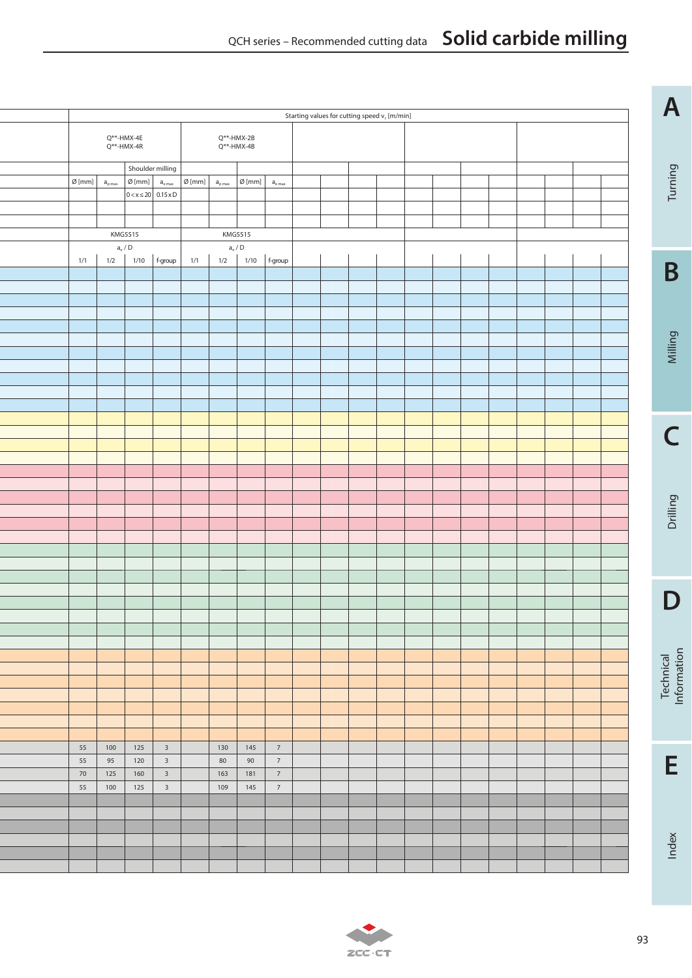## QCH series – Recommended cutting data **Solid carbide milling**

|                  |                                          |                         |                                         |                  |                                          |                  |                               | Starting values for cutting speed $v_c$ [m/min] |  |  |  |  |  | A                        |
|------------------|------------------------------------------|-------------------------|-----------------------------------------|------------------|------------------------------------------|------------------|-------------------------------|-------------------------------------------------|--|--|--|--|--|--------------------------|
|                  |                                          |                         |                                         |                  |                                          |                  |                               |                                                 |  |  |  |  |  |                          |
|                  | $Q^{**}$ -HMX-4E<br>$Q^{**}$ -HMX-4R     |                         |                                         |                  | $Q^{**}$ -HMX-2B<br>$Q^{**}$ -HMX-4B     |                  |                               |                                                 |  |  |  |  |  |                          |
|                  |                                          | Shoulder milling        |                                         |                  |                                          |                  |                               |                                                 |  |  |  |  |  |                          |
| $\emptyset$ [mm] | $\mathsf{a}_{\mathsf{p}\,\mathsf{max}}$  | $\emptyset$ [mm]        | $\mathsf{a}_{\mathsf{e}\,\mathsf{max}}$ | $\emptyset$ [mm] | $a_{p \max}$                             | $\emptyset$ [mm] | $\mathsf{a}_{\mathsf{e}\max}$ |                                                 |  |  |  |  |  | Turning                  |
|                  |                                          | $0 < x \le 20$ 0.15 x D |                                         |                  |                                          |                  |                               |                                                 |  |  |  |  |  |                          |
|                  |                                          |                         |                                         |                  |                                          |                  |                               |                                                 |  |  |  |  |  |                          |
|                  |                                          | KMG5515                 |                                         |                  | <b>KMG5515</b>                           |                  |                               |                                                 |  |  |  |  |  |                          |
|                  | $\mathsf{a}_{\mathrm{e}}$ / $\mathsf{D}$ |                         |                                         |                  | $\mathsf{a}_{\mathrm{e}}$ / $\mathsf{D}$ |                  |                               |                                                 |  |  |  |  |  |                          |
| 1/1              | 1/2                                      | 1/10                    | f-group                                 | 1/1              | 1/2                                      | 1/10             | f-group                       |                                                 |  |  |  |  |  |                          |
|                  |                                          |                         |                                         |                  |                                          |                  |                               |                                                 |  |  |  |  |  | B                        |
|                  |                                          |                         |                                         |                  |                                          |                  |                               |                                                 |  |  |  |  |  |                          |
|                  |                                          |                         |                                         |                  |                                          |                  |                               |                                                 |  |  |  |  |  |                          |
|                  |                                          |                         |                                         |                  |                                          |                  |                               |                                                 |  |  |  |  |  |                          |
|                  |                                          |                         |                                         |                  |                                          |                  |                               |                                                 |  |  |  |  |  | Milling                  |
|                  |                                          |                         |                                         |                  |                                          |                  |                               |                                                 |  |  |  |  |  |                          |
|                  |                                          |                         |                                         |                  |                                          |                  |                               |                                                 |  |  |  |  |  |                          |
|                  |                                          |                         |                                         |                  |                                          |                  |                               |                                                 |  |  |  |  |  |                          |
|                  |                                          |                         |                                         |                  |                                          |                  |                               |                                                 |  |  |  |  |  |                          |
|                  |                                          |                         |                                         |                  |                                          |                  |                               |                                                 |  |  |  |  |  |                          |
|                  |                                          |                         |                                         |                  |                                          |                  |                               |                                                 |  |  |  |  |  | $\overline{\phantom{a}}$ |
|                  |                                          |                         |                                         |                  |                                          |                  |                               |                                                 |  |  |  |  |  |                          |
|                  |                                          |                         |                                         |                  |                                          |                  |                               |                                                 |  |  |  |  |  |                          |
|                  |                                          |                         |                                         |                  |                                          |                  |                               |                                                 |  |  |  |  |  |                          |
|                  |                                          |                         |                                         |                  |                                          |                  |                               |                                                 |  |  |  |  |  |                          |
|                  |                                          |                         |                                         |                  |                                          |                  |                               |                                                 |  |  |  |  |  | Drilling                 |
|                  |                                          |                         |                                         |                  |                                          |                  |                               |                                                 |  |  |  |  |  |                          |
|                  |                                          |                         |                                         |                  |                                          |                  |                               |                                                 |  |  |  |  |  |                          |
|                  |                                          |                         |                                         |                  |                                          |                  |                               |                                                 |  |  |  |  |  |                          |
|                  |                                          |                         |                                         |                  |                                          |                  |                               |                                                 |  |  |  |  |  |                          |
|                  |                                          |                         |                                         |                  |                                          |                  |                               |                                                 |  |  |  |  |  |                          |
|                  |                                          |                         |                                         |                  |                                          |                  |                               |                                                 |  |  |  |  |  | D                        |
|                  |                                          |                         |                                         |                  |                                          |                  |                               |                                                 |  |  |  |  |  |                          |
|                  |                                          |                         |                                         |                  |                                          |                  |                               |                                                 |  |  |  |  |  |                          |
|                  |                                          |                         |                                         |                  |                                          |                  |                               |                                                 |  |  |  |  |  |                          |
|                  |                                          |                         |                                         |                  |                                          |                  |                               |                                                 |  |  |  |  |  |                          |
|                  |                                          |                         |                                         |                  |                                          |                  |                               |                                                 |  |  |  |  |  | Technical<br>Information |
|                  |                                          |                         |                                         |                  |                                          |                  |                               |                                                 |  |  |  |  |  |                          |
|                  |                                          |                         |                                         |                  |                                          |                  |                               |                                                 |  |  |  |  |  |                          |
|                  |                                          |                         |                                         |                  |                                          |                  |                               |                                                 |  |  |  |  |  |                          |
| 55               | 100                                      | 125                     | $\overline{\mathbf{3}}$                 |                  | 130                                      | 145              | $\,$ 7 $\,$                   |                                                 |  |  |  |  |  |                          |
| 55               | 95                                       | 120                     | $\overline{\mathbf{3}}$                 |                  | 80                                       | 90               | $\overline{7}$                |                                                 |  |  |  |  |  |                          |
| 70               | 125                                      | 160                     | $\overline{\mathbf{3}}$                 |                  | 163                                      | 181              | $\,$ 7 $\,$                   |                                                 |  |  |  |  |  | E                        |
| 55               | 100                                      | 125                     | $\overline{\mathbf{3}}$                 |                  | 109                                      | 145              | $7\overline{ }$               |                                                 |  |  |  |  |  |                          |
|                  |                                          |                         |                                         |                  |                                          |                  |                               |                                                 |  |  |  |  |  |                          |
|                  |                                          |                         |                                         |                  |                                          |                  |                               |                                                 |  |  |  |  |  |                          |
|                  |                                          |                         |                                         |                  |                                          |                  |                               |                                                 |  |  |  |  |  |                          |
|                  |                                          |                         |                                         |                  |                                          |                  |                               |                                                 |  |  |  |  |  | Index                    |
|                  |                                          |                         |                                         |                  |                                          |                  |                               |                                                 |  |  |  |  |  |                          |
|                  |                                          |                         |                                         |                  |                                          |                  |                               |                                                 |  |  |  |  |  |                          |